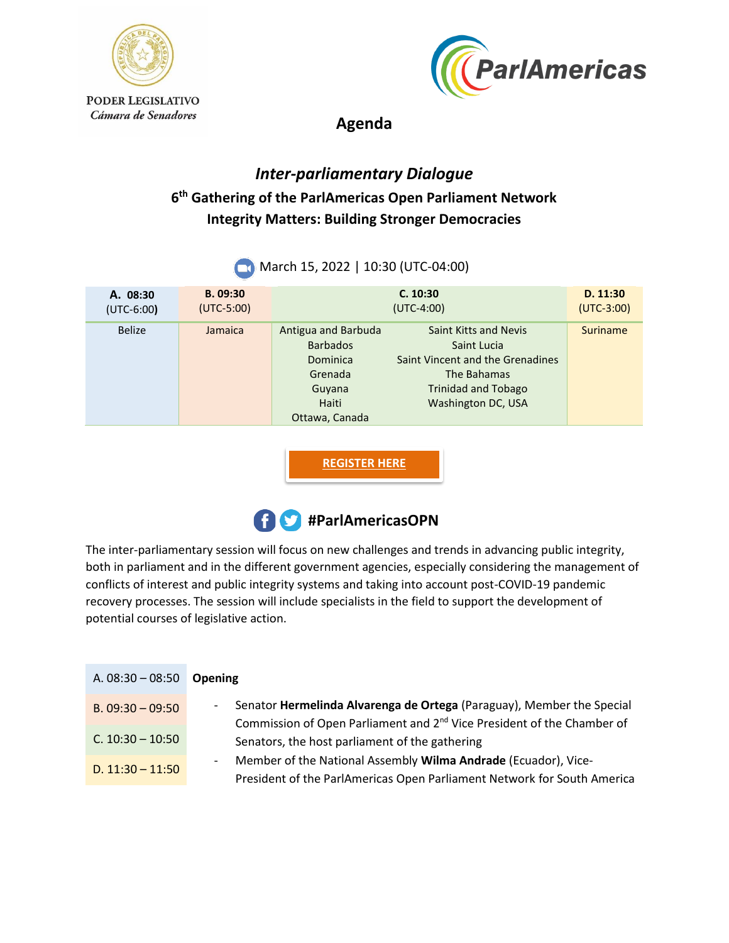



**Agenda**

## *Inter-parliamentary Dialogue*  **6 th Gathering of the ParlAmericas Open Parliament Network Integrity Matters: Building Stronger Democracies**

| A. 08:30<br>$(UTC-6:00)$ | B. 09:30<br>$(UTC-5:00)$ |                                                                                                    | C. 10:30<br>$(UTC-4:00)$                                                                                                                           | D. 11:30<br>$(UTC-3:00)$ |
|--------------------------|--------------------------|----------------------------------------------------------------------------------------------------|----------------------------------------------------------------------------------------------------------------------------------------------------|--------------------------|
| <b>Belize</b>            | Jamaica                  | Antigua and Barbuda<br><b>Barbados</b><br>Dominica<br>Grenada<br>Guyana<br>Haiti<br>Ottawa, Canada | <b>Saint Kitts and Nevis</b><br>Saint Lucia<br>Saint Vincent and the Grenadines<br>The Bahamas<br><b>Trinidad and Tobago</b><br>Washington DC, USA | Suriname                 |

**March 15, 2022 | 10:30 (UTC-04:00)** 

**[REGISTER HERE](https://survey.zohopublic.com/zs/teD7l1)**



The inter-parliamentary session will focus on new challenges and trends in advancing public integrity, both in parliament and in the different government agencies, especially considering the management of conflicts of interest and public integrity systems and taking into account post-COVID-19 pandemic recovery processes. The session will include specialists in the field to support the development of potential courses of legislative action.

| A. $08:30 - 08:50$ | <b>Opening</b>                                                                                                                                                                          |
|--------------------|-----------------------------------------------------------------------------------------------------------------------------------------------------------------------------------------|
| B. $09:30 - 09:50$ | Senator Hermelinda Alvarenga de Ortega (Paraguay), Member the Special<br>$\overline{\phantom{a}}$<br>Commission of Open Parliament and 2 <sup>nd</sup> Vice President of the Chamber of |
| C. $10:30 - 10:50$ | Senators, the host parliament of the gathering                                                                                                                                          |
| D. $11:30 - 11:50$ | Member of the National Assembly Wilma Andrade (Ecuador), Vice-<br>۰.<br>President of the ParlAmericas Open Parliament Network for South America                                         |
|                    |                                                                                                                                                                                         |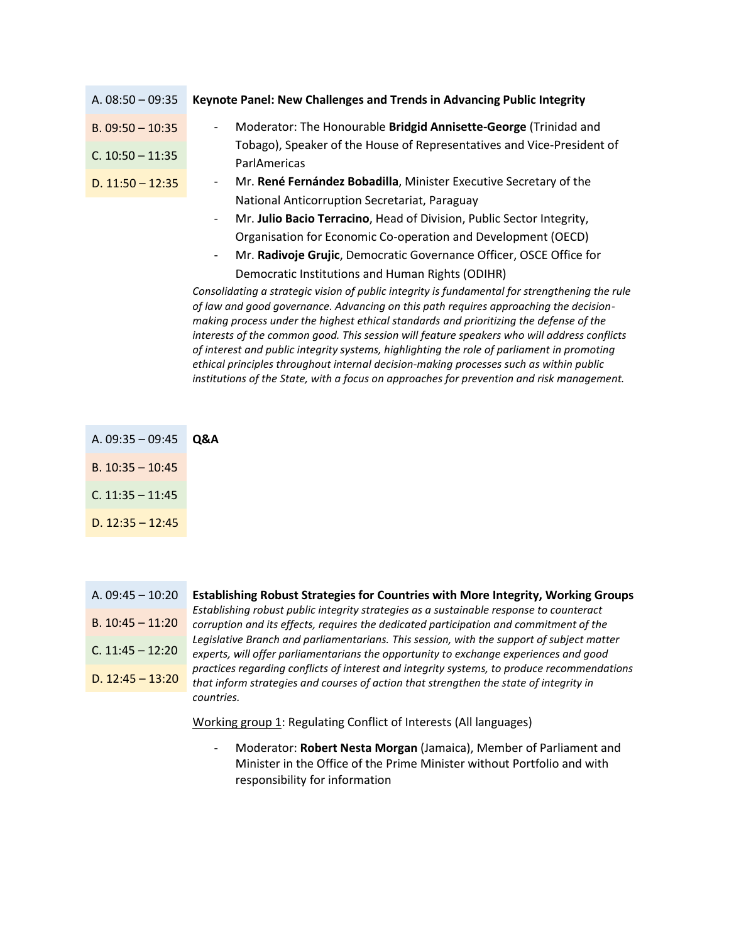| A. $08:50 - 09:35$ | Keynote Panel: New Challenges and Trends in Advancing Public Integrity                            |
|--------------------|---------------------------------------------------------------------------------------------------|
| $B. 09:50 - 10:35$ | Moderator: The Honourable Bridgid Annisette-George (Trinidad and<br>$\overline{\phantom{a}}$      |
| $C. 10:50 - 11:35$ | Tobago), Speaker of the House of Representatives and Vice-President of<br>ParlAmericas            |
| D. $11:50 - 12:35$ | Mr. René Fernández Bobadilla, Minister Executive Secretary of the<br>$\overline{\phantom{a}}$     |
|                    | National Anticorruption Secretariat, Paraguay                                                     |
|                    | Mr. Julio Bacio Terracino, Head of Division, Public Sector Integrity,<br>$\overline{\phantom{a}}$ |
|                    | Organisation for Economic Co-operation and Development (OECD)                                     |

- Mr. **Radivoje Grujic**, Democratic Governance Officer, OSCE Office for Democratic Institutions and Human Rights (ODIHR)

*Consolidating a strategic vision of public integrity is fundamental for strengthening the rule of law and good governance. Advancing on this path requires approaching the decisionmaking process under the highest ethical standards and prioritizing the defense of the interests of the common good. This session will feature speakers who will address conflicts of interest and public integrity systems, highlighting the role of parliament in promoting ethical principles throughout internal decision-making processes such as within public institutions of the State, with a focus on approaches for prevention and risk management.*

- A. 09:35 09:45 **Q&A**
- B. 10:35 10:45
- C. 11:35 11:45
- D.  $12:35 12:45$
- B.  $10:45 11:20$ C. 11:45 – 12:20

D.  $12:45 - 13:20$ 

A. 09:45 – 10:20 **Establishing Robust Strategies for Countries with More Integrity, Working Groups** *Establishing robust public integrity strategies as a sustainable response to counteract corruption and its effects, requires the dedicated participation and commitment of the Legislative Branch and parliamentarians. This session, with the support of subject matter experts, will offer parliamentarians the opportunity to exchange experiences and good practices regarding conflicts of interest and integrity systems, to produce recommendations that inform strategies and courses of action that strengthen the state of integrity in countries.*

Working group 1: Regulating Conflict of Interests (All languages)

- Moderator: **Robert Nesta Morgan** (Jamaica), Member of Parliament and Minister in the Office of the Prime Minister without Portfolio and with responsibility for information